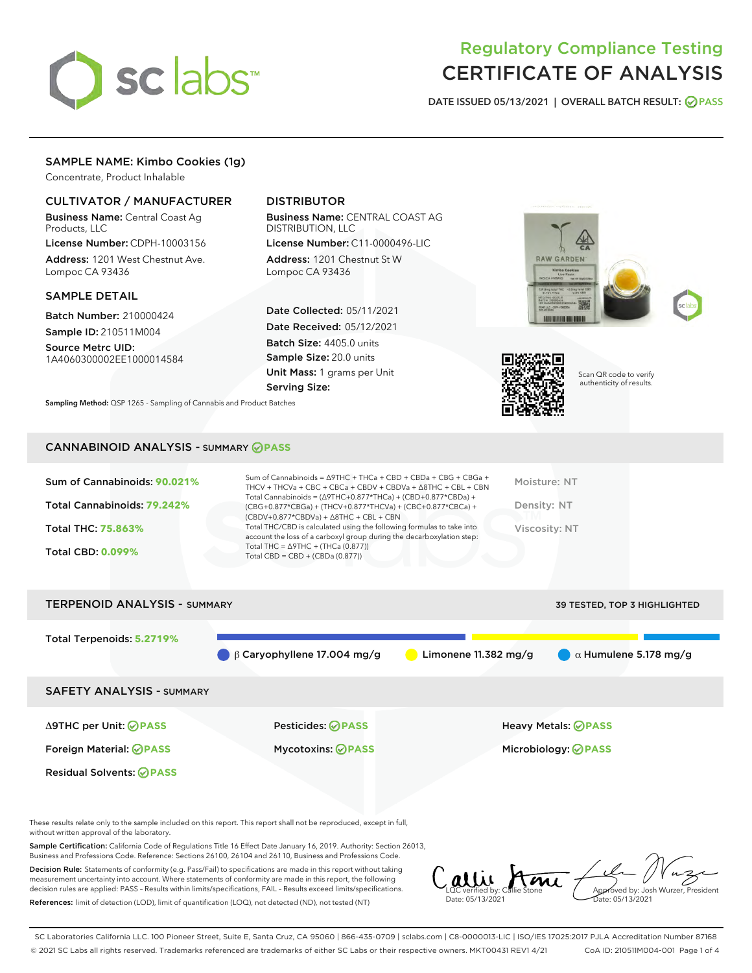

## Regulatory Compliance Testing CERTIFICATE OF ANALYSIS

DATE ISSUED 05/13/2021 | OVERALL BATCH RESULT: @ PASS

### SAMPLE NAME: Kimbo Cookies (1g)

Concentrate, Product Inhalable

#### CULTIVATOR / MANUFACTURER

Business Name: Central Coast Ag Products, LLC

License Number: CDPH-10003156 Address: 1201 West Chestnut Ave. Lompoc CA 93436

#### SAMPLE DETAIL

Batch Number: 210000424 Sample ID: 210511M004

Source Metrc UID: 1A4060300002EE1000014584

## DISTRIBUTOR

Business Name: CENTRAL COAST AG DISTRIBUTION, LLC

License Number: C11-0000496-LIC Address: 1201 Chestnut St W Lompoc CA 93436

Date Collected: 05/11/2021 Date Received: 05/12/2021 Batch Size: 4405.0 units Sample Size: 20.0 units Unit Mass: 1 grams per Unit Serving Size:







Scan QR code to verify authenticity of results.

CANNABINOID ANALYSIS - SUMMARY **PASS**

Sampling Method: QSP 1265 - Sampling of Cannabis and Product Batches

| Sum of Cannabinoids: 90.021% | Sum of Cannabinoids = $\triangle$ 9THC + THCa + CBD + CBDa + CBG + CBGa +<br>THCV + THCVa + CBC + CBCa + CBDV + CBDVa + $\Delta$ 8THC + CBL + CBN                                    | Moisture: NT  |
|------------------------------|--------------------------------------------------------------------------------------------------------------------------------------------------------------------------------------|---------------|
| Total Cannabinoids: 79.242%  | Total Cannabinoids = $(\Delta$ 9THC+0.877*THCa) + (CBD+0.877*CBDa) +<br>(CBG+0.877*CBGa) + (THCV+0.877*THCVa) + (CBC+0.877*CBCa) +<br>$(CBDV+0.877*CBDVa) + \Delta 8THC + CBL + CBN$ | Density: NT   |
| <b>Total THC: 75.863%</b>    | Total THC/CBD is calculated using the following formulas to take into<br>account the loss of a carboxyl group during the decarboxylation step:                                       | Viscosity: NT |
| <b>Total CBD: 0.099%</b>     | Total THC = $\triangle$ 9THC + (THCa (0.877))<br>Total CBD = $CBD + (CBDa (0.877))$                                                                                                  |               |
|                              |                                                                                                                                                                                      |               |

# TERPENOID ANALYSIS - SUMMARY 39 TESTED, TOP 3 HIGHLIGHTED Total Terpenoids: **5.2719% β Caryophyllene 17.004 mg/g a Limonene 11.382 mg/g a**  $\alpha$  **Humulene 5.178 mg/g** SAFETY ANALYSIS - SUMMARY Δ9THC per Unit: **PASS** Pesticides: **PASS** Heavy Metals: **PASS** Foreign Material: **PASS** Mycotoxins: **PASS** Microbiology: **PASS** Residual Solvents: **PASS**

These results relate only to the sample included on this report. This report shall not be reproduced, except in full, without written approval of the laboratory.

Sample Certification: California Code of Regulations Title 16 Effect Date January 16, 2019. Authority: Section 26013, Business and Professions Code. Reference: Sections 26100, 26104 and 26110, Business and Professions Code.

Decision Rule: Statements of conformity (e.g. Pass/Fail) to specifications are made in this report without taking measurement uncertainty into account. Where statements of conformity are made in this report, the following decision rules are applied: PASS – Results within limits/specifications, FAIL – Results exceed limits/specifications. References: limit of detection (LOD), limit of quantification (LOQ), not detected (ND), not tested (NT)

LQC verified by: Callie Stone Date: 05/13/2021 **A**<br>Approved by: Josh Wurzer, President Date: 05/13/2021

SC Laboratories California LLC. 100 Pioneer Street, Suite E, Santa Cruz, CA 95060 | 866-435-0709 | sclabs.com | C8-0000013-LIC | ISO/IES 17025:2017 PJLA Accreditation Number 87168 © 2021 SC Labs all rights reserved. Trademarks referenced are trademarks of either SC Labs or their respective owners. MKT00431 REV1 4/21 CoA ID: 210511M004-001 Page 1 of 4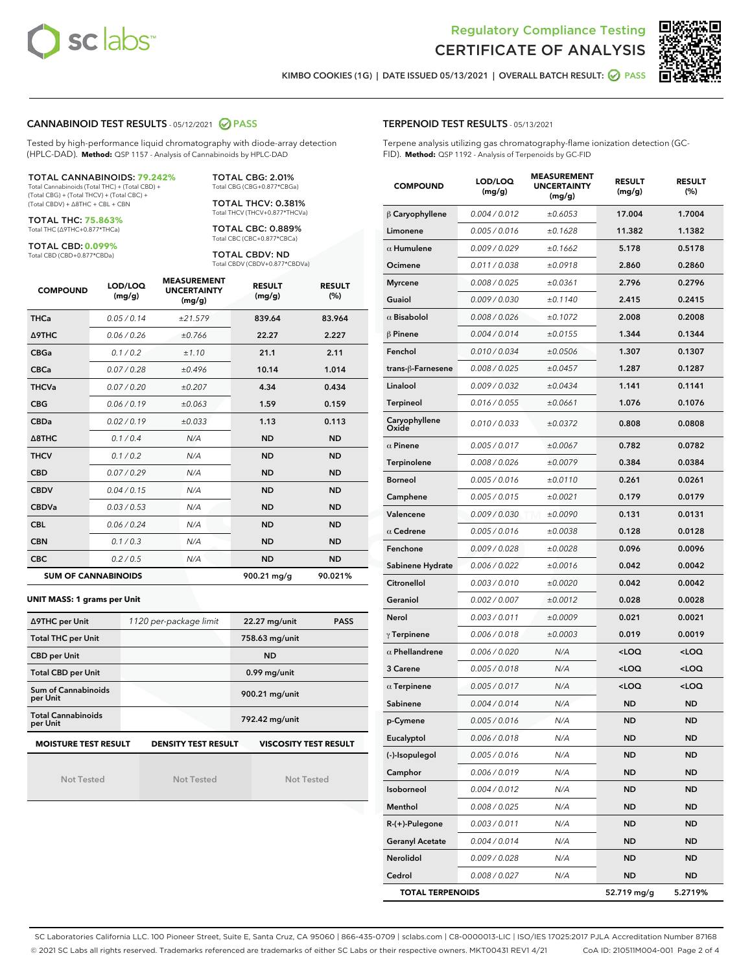



KIMBO COOKIES (1G) | DATE ISSUED 05/13/2021 | OVERALL BATCH RESULT: **● PASS** 

#### CANNABINOID TEST RESULTS - 05/12/2021 2 PASS

Tested by high-performance liquid chromatography with diode-array detection (HPLC-DAD). **Method:** QSP 1157 - Analysis of Cannabinoids by HPLC-DAD

TOTAL CANNABINOIDS: **79.242%** Total Cannabinoids (Total THC) + (Total CBD) +

(Total CBG) + (Total THCV) + (Total CBC) + (Total CBDV) + ∆8THC + CBL + CBN

TOTAL THC: **75.863%** Total THC (∆9THC+0.877\*THCa)

TOTAL CBD: **0.099%**

Total CBD (CBD+0.877\*CBDa)

TOTAL CBG: 2.01% Total CBG (CBG+0.877\*CBGa)

TOTAL THCV: 0.381% Total THCV (THCV+0.877\*THCVa)

TOTAL CBC: 0.889% Total CBC (CBC+0.877\*CBCa)

TOTAL CBDV: ND Total CBDV (CBDV+0.877\*CBDVa)

| <b>COMPOUND</b> | LOD/LOQ<br>(mg/g)          | <b>MEASUREMENT</b><br><b>UNCERTAINTY</b><br>(mg/g) | <b>RESULT</b><br>(mg/g) | <b>RESULT</b><br>(%) |
|-----------------|----------------------------|----------------------------------------------------|-------------------------|----------------------|
| <b>THCa</b>     | 0.05/0.14                  | ±21.579                                            | 839.64                  | 83.964               |
| <b>A9THC</b>    | 0.06 / 0.26                | ±0.766                                             | 22.27                   | 2.227                |
| <b>CBGa</b>     | 0.1 / 0.2                  | ±1.10                                              | 21.1                    | 2.11                 |
| <b>CBCa</b>     | 0.07 / 0.28                | ±0.496                                             | 10.14                   | 1.014                |
| <b>THCVa</b>    | 0.07/0.20                  | ±0.207                                             | 4.34                    | 0.434                |
| <b>CBG</b>      | 0.06/0.19                  | ±0.063                                             | 1.59                    | 0.159                |
| <b>CBDa</b>     | 0.02 / 0.19                | ±0.033                                             | 1.13                    | 0.113                |
| A8THC           | 0.1/0.4                    | N/A                                                | <b>ND</b>               | <b>ND</b>            |
| <b>THCV</b>     | 0.1/0.2                    | N/A                                                | <b>ND</b>               | <b>ND</b>            |
| <b>CBD</b>      | 0.07/0.29                  | N/A                                                | <b>ND</b>               | <b>ND</b>            |
| <b>CBDV</b>     | 0.04 / 0.15                | N/A                                                | <b>ND</b>               | <b>ND</b>            |
| <b>CBDVa</b>    | 0.03/0.53                  | N/A                                                | <b>ND</b>               | <b>ND</b>            |
| <b>CBL</b>      | 0.06 / 0.24                | N/A                                                | <b>ND</b>               | <b>ND</b>            |
| <b>CBN</b>      | 0.1/0.3                    | N/A                                                | <b>ND</b>               | <b>ND</b>            |
| <b>CBC</b>      | 0.2 / 0.5                  | N/A                                                | <b>ND</b>               | <b>ND</b>            |
|                 | <b>SUM OF CANNABINOIDS</b> |                                                    | 900.21 mg/g             | 90.021%              |

#### **UNIT MASS: 1 grams per Unit**

| ∆9THC per Unit                        | 1120 per-package limit     | 22.27 mg/unit<br><b>PASS</b> |
|---------------------------------------|----------------------------|------------------------------|
| <b>Total THC per Unit</b>             |                            | 758.63 mg/unit               |
| <b>CBD per Unit</b>                   |                            | <b>ND</b>                    |
| <b>Total CBD per Unit</b>             |                            | $0.99$ mg/unit               |
| Sum of Cannabinoids<br>per Unit       |                            | 900.21 mg/unit               |
| <b>Total Cannabinoids</b><br>per Unit |                            | 792.42 mg/unit               |
| <b>MOISTURE TEST RESULT</b>           | <b>DENSITY TEST RESULT</b> | <b>VISCOSITY TEST RESULT</b> |

Not Tested

Not Tested

Not Tested

|  | <b>TERPENOID TEST RESULTS - 05/13/2021</b> |  |
|--|--------------------------------------------|--|
|--|--------------------------------------------|--|

Terpene analysis utilizing gas chromatography-flame ionization detection (GC-FID). **Method:** QSP 1192 - Analysis of Terpenoids by GC-FID

| <b>COMPOUND</b>         | LOD/LOQ<br>(mg/g)    | <b>MEASUREMENT</b><br><b>UNCERTAINTY</b><br>(mg/g) | <b>RESULT</b><br>(mg/g)                         | <b>RESULT</b><br>(%) |
|-------------------------|----------------------|----------------------------------------------------|-------------------------------------------------|----------------------|
| $\beta$ Caryophyllene   | 0.004 / 0.012        | ±0.6053                                            | 17.004                                          | 1.7004               |
| Limonene                | 0.005 / 0.016        | ±0.1628                                            | 11.382                                          | 1.1382               |
| $\alpha$ Humulene       | 0.009/0.029          | ±0.1662                                            | 5.178                                           | 0.5178               |
| Ocimene                 | 0.011 / 0.038        | ±0.0918                                            | 2.860                                           | 0.2860               |
| <b>Myrcene</b>          | 0.008 / 0.025        | ±0.0361                                            | 2.796                                           | 0.2796               |
| Guaiol                  | <i>0.009 / 0.030</i> | ±0.1140                                            | 2.415                                           | 0.2415               |
| $\alpha$ Bisabolol      | 0.008 / 0.026        | ±0.1072                                            | 2.008                                           | 0.2008               |
| $\beta$ Pinene          | 0.004 / 0.014        | ±0.0155                                            | 1.344                                           | 0.1344               |
| Fenchol                 | 0.010 / 0.034        | ±0.0506                                            | 1.307                                           | 0.1307               |
| trans-ß-Farnesene       | 0.008 / 0.025        | ±0.0457                                            | 1.287                                           | 0.1287               |
| Linalool                | 0.009 / 0.032        | ±0.0434                                            | 1.141                                           | 0.1141               |
| <b>Terpineol</b>        | 0.016 / 0.055        | ±0.0661                                            | 1.076                                           | 0.1076               |
| Caryophyllene<br>Oxide  | 0.010 / 0.033        | ±0.0372                                            | 0.808                                           | 0.0808               |
| $\alpha$ Pinene         | 0.005 / 0.017        | ±0.0067                                            | 0.782                                           | 0.0782               |
| Terpinolene             | 0.008 / 0.026        | ±0.0079                                            | 0.384                                           | 0.0384               |
| <b>Borneol</b>          | 0.005 / 0.016        | ±0.0110                                            | 0.261                                           | 0.0261               |
| Camphene                | 0.005 / 0.015        | ±0.0021                                            | 0.179                                           | 0.0179               |
| Valencene               | 0.009 / 0.030        | ±0.0090                                            | 0.131                                           | 0.0131               |
| $\alpha$ Cedrene        | 0.005 / 0.016        | ±0.0038                                            | 0.128                                           | 0.0128               |
| Fenchone                | 0.009 / 0.028        | ±0.0028                                            | 0.096                                           | 0.0096               |
| Sabinene Hydrate        | 0.006 / 0.022        | ±0.0016                                            | 0.042                                           | 0.0042               |
| Citronellol             | 0.003 / 0.010        | ±0.0020                                            | 0.042                                           | 0.0042               |
| Geraniol                | 0.002 / 0.007        | ±0.0012                                            | 0.028                                           | 0.0028               |
| Nerol                   | 0.003 / 0.011        | ±0.0009                                            | 0.021                                           | 0.0021               |
| $\gamma$ Terpinene      | 0.006 / 0.018        | ±0.0003                                            | 0.019                                           | 0.0019               |
| $\alpha$ Phellandrene   | 0.006 / 0.020        | N/A                                                | <loq< th=""><th><loq< th=""></loq<></th></loq<> | <loq< th=""></loq<>  |
| 3 Carene                | 0.005 / 0.018        | N/A                                                | <loq< th=""><th><loq< th=""></loq<></th></loq<> | <loq< th=""></loq<>  |
| $\alpha$ Terpinene      | 0.005 / 0.017        | N/A                                                | <loq< th=""><th><loq< th=""></loq<></th></loq<> | <loq< th=""></loq<>  |
| Sabinene                | 0.004 / 0.014        | N/A                                                | ND                                              | ND                   |
| p-Cymene                | 0.005 / 0.016        | N/A                                                | <b>ND</b>                                       | <b>ND</b>            |
| Eucalyptol              | 0.006 / 0.018        | N/A                                                | ND                                              | ND                   |
| (-)-Isopulegol          | 0.005 / 0.016        | N/A                                                | <b>ND</b>                                       | ND                   |
| Camphor                 | 0.006 / 0.019        | N/A                                                | ND                                              | ND                   |
| Isoborneol              | 0.004 / 0.012        | N/A                                                | ND                                              | ND                   |
| Menthol                 | 0.008 / 0.025        | N/A                                                | ND                                              | ND                   |
| $R-(+)$ -Pulegone       | 0.003 / 0.011        | N/A                                                | ND                                              | ND                   |
| <b>Geranyl Acetate</b>  | 0.004 / 0.014        | N/A                                                | ND                                              | ND                   |
| Nerolidol               | 0.009 / 0.028        | N/A                                                | ND                                              | ND                   |
| Cedrol                  | 0.008 / 0.027        | N/A                                                | ND                                              | ND                   |
| <b>TOTAL TERPENOIDS</b> |                      |                                                    | 52.719 mg/g                                     | 5.2719%              |

SC Laboratories California LLC. 100 Pioneer Street, Suite E, Santa Cruz, CA 95060 | 866-435-0709 | sclabs.com | C8-0000013-LIC | ISO/IES 17025:2017 PJLA Accreditation Number 87168 © 2021 SC Labs all rights reserved. Trademarks referenced are trademarks of either SC Labs or their respective owners. MKT00431 REV1 4/21 CoA ID: 210511M004-001 Page 2 of 4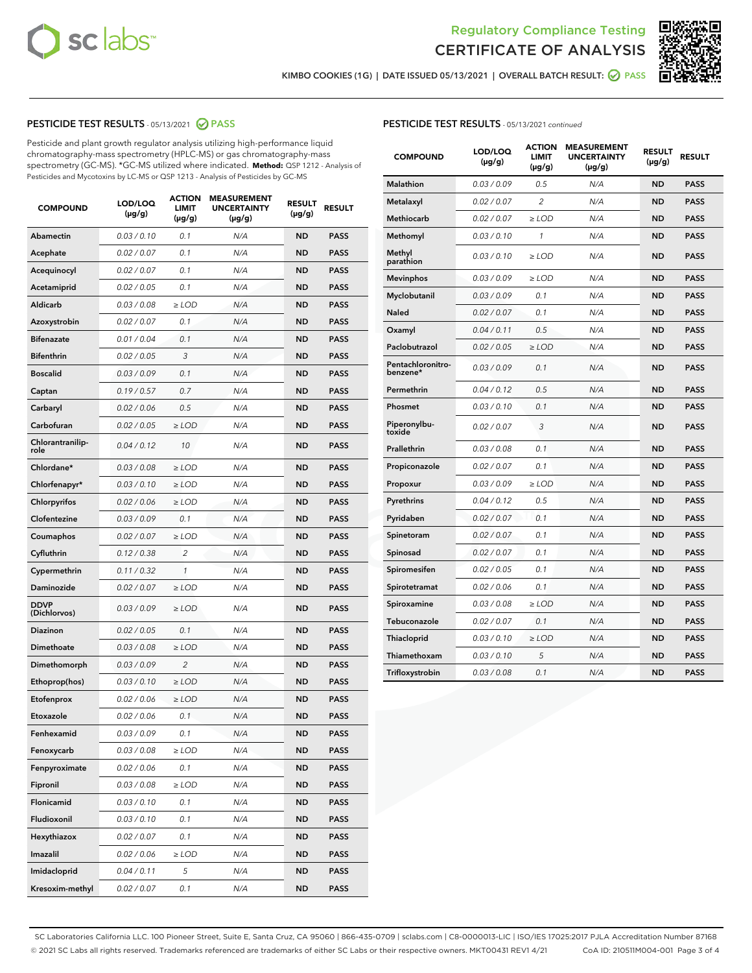



KIMBO COOKIES (1G) | DATE ISSUED 05/13/2021 | OVERALL BATCH RESULT: **⊘** PASS

#### PESTICIDE TEST RESULTS - 05/13/2021 2 PASS

Pesticide and plant growth regulator analysis utilizing high-performance liquid chromatography-mass spectrometry (HPLC-MS) or gas chromatography-mass spectrometry (GC-MS). \*GC-MS utilized where indicated. **Method:** QSP 1212 - Analysis of Pesticides and Mycotoxins by LC-MS or QSP 1213 - Analysis of Pesticides by GC-MS

| <b>COMPOUND</b>             | LOD/LOQ<br>(µg/g) | <b>ACTION</b><br><b>LIMIT</b><br>$(\mu g/g)$ | <b>MEASUREMENT</b><br><b>UNCERTAINTY</b><br>$(\mu g/g)$ | <b>RESULT</b><br>(µg/g) | <b>RESULT</b> |
|-----------------------------|-------------------|----------------------------------------------|---------------------------------------------------------|-------------------------|---------------|
| <b>Abamectin</b>            | 0.03 / 0.10       | 0.1                                          | N/A                                                     | <b>ND</b>               | <b>PASS</b>   |
| Acephate                    | 0.02 / 0.07       | 0.1                                          | N/A                                                     | <b>ND</b>               | <b>PASS</b>   |
| Acequinocyl                 | 0.02 / 0.07       | 0.1                                          | N/A                                                     | ND                      | <b>PASS</b>   |
| Acetamiprid                 | 0.02 / 0.05       | 0.1                                          | N/A                                                     | <b>ND</b>               | <b>PASS</b>   |
| Aldicarb                    | 0.03 / 0.08       | $\geq$ LOD                                   | N/A                                                     | <b>ND</b>               | <b>PASS</b>   |
| Azoxystrobin                | 0.02 / 0.07       | 0.1                                          | N/A                                                     | ND                      | <b>PASS</b>   |
| <b>Bifenazate</b>           | 0.01 / 0.04       | 0.1                                          | N/A                                                     | <b>ND</b>               | <b>PASS</b>   |
| <b>Bifenthrin</b>           | 0.02 / 0.05       | 3                                            | N/A                                                     | <b>ND</b>               | <b>PASS</b>   |
| <b>Boscalid</b>             | 0.03/0.09         | 0.1                                          | N/A                                                     | ND                      | <b>PASS</b>   |
| Captan                      | 0.19/0.57         | 0.7                                          | N/A                                                     | <b>ND</b>               | <b>PASS</b>   |
| Carbaryl                    | 0.02 / 0.06       | 0.5                                          | N/A                                                     | <b>ND</b>               | <b>PASS</b>   |
| Carbofuran                  | 0.02 / 0.05       | ≥ LOD                                        | N/A                                                     | ND                      | PASS          |
| Chlorantranilip-<br>role    | 0.04 / 0.12       | 10                                           | N/A                                                     | <b>ND</b>               | <b>PASS</b>   |
| Chlordane*                  | 0.03 / 0.08       | $\geq$ LOD                                   | N/A                                                     | <b>ND</b>               | <b>PASS</b>   |
| Chlorfenapyr*               | 0.03 / 0.10       | $\geq$ LOD                                   | N/A                                                     | <b>ND</b>               | <b>PASS</b>   |
| Chlorpyrifos                | 0.02 / 0.06       | $\geq$ LOD                                   | N/A                                                     | <b>ND</b>               | <b>PASS</b>   |
| Clofentezine                | 0.03/0.09         | 0.1                                          | N/A                                                     | <b>ND</b>               | <b>PASS</b>   |
| Coumaphos                   | 0.02 / 0.07       | $\geq$ LOD                                   | N/A                                                     | <b>ND</b>               | <b>PASS</b>   |
| Cyfluthrin                  | 0.12 / 0.38       | $\overline{c}$                               | N/A                                                     | <b>ND</b>               | <b>PASS</b>   |
| Cypermethrin                | 0.11 / 0.32       | 1                                            | N/A                                                     | <b>ND</b>               | <b>PASS</b>   |
| Daminozide                  | 0.02 / 0.07       | $\geq$ LOD                                   | N/A                                                     | <b>ND</b>               | <b>PASS</b>   |
| <b>DDVP</b><br>(Dichlorvos) | 0.03 / 0.09       | $\geq$ LOD                                   | N/A                                                     | <b>ND</b>               | <b>PASS</b>   |
| <b>Diazinon</b>             | 0.02 / 0.05       | 0.1                                          | N/A                                                     | <b>ND</b>               | <b>PASS</b>   |
| Dimethoate                  | 0.03 / 0.08       | $\geq$ LOD                                   | N/A                                                     | <b>ND</b>               | <b>PASS</b>   |
| Dimethomorph                | 0.03 / 0.09       | 2                                            | N/A                                                     | <b>ND</b>               | <b>PASS</b>   |
| Ethoprop(hos)               | 0.03 / 0.10       | $\ge$ LOD                                    | N/A                                                     | <b>ND</b>               | <b>PASS</b>   |
| Etofenprox                  | 0.02 / 0.06       | $\ge$ LOD                                    | N/A                                                     | <b>ND</b>               | <b>PASS</b>   |
| Etoxazole                   | 0.02 / 0.06       | 0.1                                          | N/A                                                     | <b>ND</b>               | <b>PASS</b>   |
| Fenhexamid                  | 0.03 / 0.09       | 0.1                                          | N/A                                                     | ND                      | <b>PASS</b>   |
| Fenoxycarb                  | 0.03 / 0.08       | ≥ LOD                                        | N/A                                                     | ND                      | <b>PASS</b>   |
| Fenpyroximate               | 0.02 / 0.06       | 0.1                                          | N/A                                                     | <b>ND</b>               | <b>PASS</b>   |
| Fipronil                    | 0.03 / 0.08       | $\ge$ LOD                                    | N/A                                                     | <b>ND</b>               | <b>PASS</b>   |
| Flonicamid                  | 0.03 / 0.10       | 0.1                                          | N/A                                                     | <b>ND</b>               | <b>PASS</b>   |
| Fludioxonil                 | 0.03 / 0.10       | 0.1                                          | N/A                                                     | <b>ND</b>               | <b>PASS</b>   |
| Hexythiazox                 | 0.02 / 0.07       | 0.1                                          | N/A                                                     | <b>ND</b>               | <b>PASS</b>   |
| Imazalil                    | 0.02 / 0.06       | $\geq$ LOD                                   | N/A                                                     | <b>ND</b>               | <b>PASS</b>   |
| Imidacloprid                | 0.04 / 0.11       | 5                                            | N/A                                                     | <b>ND</b>               | <b>PASS</b>   |
| Kresoxim-methyl             | 0.02 / 0.07       | 0.1                                          | N/A                                                     | <b>ND</b>               | <b>PASS</b>   |

#### PESTICIDE TEST RESULTS - 05/13/2021 continued

| <b>COMPOUND</b>               | LOD/LOQ<br>$(\mu g/g)$ | <b>ACTION</b><br><b>LIMIT</b><br>$(\mu g/g)$ | <b>MEASUREMENT</b><br><b>UNCERTAINTY</b><br>$(\mu g/g)$ | <b>RESULT</b><br>(µg/g) | <b>RESULT</b> |
|-------------------------------|------------------------|----------------------------------------------|---------------------------------------------------------|-------------------------|---------------|
| <b>Malathion</b>              | 0.03/0.09              | 0.5                                          | N/A                                                     | <b>ND</b>               | <b>PASS</b>   |
| Metalaxyl                     | 0.02 / 0.07            | $\overline{c}$                               | N/A                                                     | ND                      | <b>PASS</b>   |
| Methiocarb                    | 0.02 / 0.07            | ≥ LOD                                        | N/A                                                     | <b>ND</b>               | <b>PASS</b>   |
| Methomyl                      | 0.03 / 0.10            | 1                                            | N/A                                                     | <b>ND</b>               | <b>PASS</b>   |
| Methyl<br>parathion           | 0.03 / 0.10            | ≥ LOD                                        | N/A                                                     | ND                      | <b>PASS</b>   |
| <b>Mevinphos</b>              | 0.03 / 0.09            | $\geq$ LOD                                   | N/A                                                     | <b>ND</b>               | <b>PASS</b>   |
| Myclobutanil                  | 0.03 / 0.09            | 0.1                                          | N/A                                                     | <b>ND</b>               | <b>PASS</b>   |
| Naled                         | 0.02 / 0.07            | 0.1                                          | N/A                                                     | <b>ND</b>               | <b>PASS</b>   |
| Oxamyl                        | 0.04 / 0.11            | 0.5                                          | N/A                                                     | <b>ND</b>               | PASS          |
| Paclobutrazol                 | 0.02 / 0.05            | $\geq$ LOD                                   | N/A                                                     | <b>ND</b>               | <b>PASS</b>   |
| Pentachloronitro-<br>benzene* | 0.03/0.09              | 0.1                                          | N/A                                                     | ND                      | <b>PASS</b>   |
| Permethrin                    | 0.04 / 0.12            | 0.5                                          | N/A                                                     | <b>ND</b>               | <b>PASS</b>   |
| Phosmet                       | 0.03/0.10              | 0.1                                          | N/A                                                     | ND                      | <b>PASS</b>   |
| Piperonylbu-<br>toxide        | 0.02 / 0.07            | 3                                            | N/A                                                     | <b>ND</b>               | <b>PASS</b>   |
| Prallethrin                   | 0.03 / 0.08            | 0.1                                          | N/A                                                     | <b>ND</b>               | <b>PASS</b>   |
| Propiconazole                 | 0.02 / 0.07            | 0.1                                          | N/A                                                     | <b>ND</b>               | <b>PASS</b>   |
| Propoxur                      | 0.03 / 0.09            | $\geq$ LOD                                   | N/A                                                     | <b>ND</b>               | <b>PASS</b>   |
| Pyrethrins                    | 0.04 / 0.12            | 0.5                                          | N/A                                                     | ND                      | <b>PASS</b>   |
| Pyridaben                     | 0.02 / 0.07            | 0.1                                          | N/A                                                     | <b>ND</b>               | <b>PASS</b>   |
| Spinetoram                    | 0.02 / 0.07            | 0.1                                          | N/A                                                     | <b>ND</b>               | <b>PASS</b>   |
| Spinosad                      | 0.02 / 0.07            | 0.1                                          | N/A                                                     | <b>ND</b>               | <b>PASS</b>   |
| Spiromesifen                  | 0.02 / 0.05            | 0.1                                          | N/A                                                     | ND                      | PASS          |
| Spirotetramat                 | 0.02 / 0.06            | 0.1                                          | N/A                                                     | <b>ND</b>               | <b>PASS</b>   |
| Spiroxamine                   | 0.03 / 0.08            | $\geq$ LOD                                   | N/A                                                     | <b>ND</b>               | <b>PASS</b>   |
| Tebuconazole                  | 0.02 / 0.07            | 0.1                                          | N/A                                                     | <b>ND</b>               | <b>PASS</b>   |
| Thiacloprid                   | 0.03 / 0.10            | $\geq$ LOD                                   | N/A                                                     | <b>ND</b>               | <b>PASS</b>   |
| Thiamethoxam                  | 0.03 / 0.10            | 5                                            | N/A                                                     | <b>ND</b>               | PASS          |
| Trifloxystrobin               | 0.03 / 0.08            | 0.1                                          | N/A                                                     | <b>ND</b>               | <b>PASS</b>   |

SC Laboratories California LLC. 100 Pioneer Street, Suite E, Santa Cruz, CA 95060 | 866-435-0709 | sclabs.com | C8-0000013-LIC | ISO/IES 17025:2017 PJLA Accreditation Number 87168 © 2021 SC Labs all rights reserved. Trademarks referenced are trademarks of either SC Labs or their respective owners. MKT00431 REV1 4/21 CoA ID: 210511M004-001 Page 3 of 4